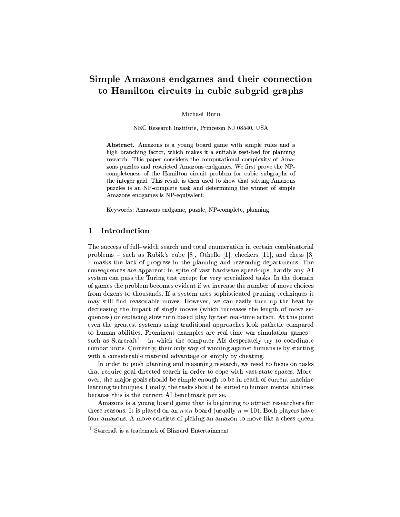# Simple Amazons endgames and their connection to Hamilton circuits in cubic subgrid graphs

Michael Buro

NEC Research Institute. Princeton NJ 08540. USA

Abstract. Amazons is a young board game with simple rules and a high branching factor, which makes it a suitable test-bed for planning research. This paper considers the computational complexity of Amazons puzzles and restricted Amazons endgames. We first prove the NPcompleteness of the Hamilton circuit problem for cubic subgraphs of the integer grid. This result is then used to show that solving Amazons puzzles is an NP-complete task and determining the winner of simple Amazons endgames is NP-equivalent.

Keywords: Amazons endgame, puzzle, NP-complete, planning

#### Introduction  $\mathbf{1}$

The success of full-width search and total enumeration in certain combinatorial problems – such as Rubik's cube [8], Othello [1], checkers [11], and chess [3] - masks the lack of progress in the planning and reasoning departments. The consequences are apparent; in spite of vast hardware speed-ups, hardly any AI system can pass the Turing test except for very specialized tasks. In the domain of games the problem becomes evident if we increase the number of move choices from dozens to thousands. If a system uses sophisticated pruning techniques it may still find reasonable moves. However, we can easily turn up the heat by decreasing the impact of single moves (which increases the length of move sequences) or replacing slow turn based play by fast real-time action. At this point even the greatest systems using traditional approaches look pathetic compared to human abilities. Prominent examples are real-time war simulation games – such as  $Start<sup>1</sup> - in which the computer AIS$  desperately try to coordinate combat units. Currently, their only way of winning against humans is by starting with a considerable material advantage or simply by cheating.

In order to push planning and reasoning research, we need to focus on tasks that require goal directed search in order to cope with vast state spaces. Moreover, the major goals should be simple enough to be in reach of current machine learning techniques. Finally, the tasks should be suited to human mental abilities because this is the current AI benchmark per se.

Amazons is a young board game that is beginning to attract researchers for these reasons. It is played on an  $n \times n$  board (usually  $n = 10$ ). Both players have four amazons. A move consists of picking an amazon to move like a chess queen

 $1$  Starcraft is a trademark of Blizzard Entertainment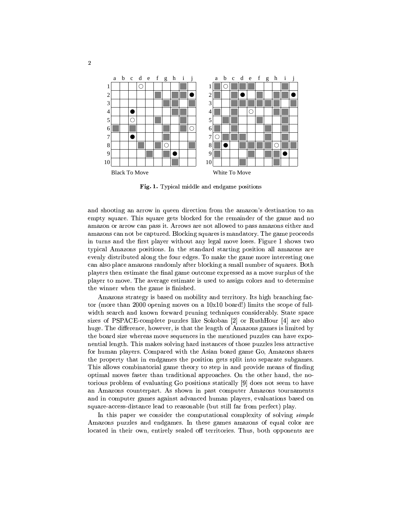

Fig. 1. Typical middle and endgame positions

and shooting an arrow in queen direction from the amazon's destination to an empty square. This square gets blocked for the remainder of the game and no amazon or arrow can pass it. Arrows are not allowed to pass amazons either and amazons can not be captured. Blocking squares is mandatory. The game proceeds in turns and the first player without any legal move loses. Figure 1 shows two typical Amazons positions. In the standard starting position all amazons are evenly distributed along the four edges. To make the game more interesting one can also place amazons randomly after blocking a small number of squares. Both players then estimate the final game outcome expressed as a move surplus of the player to move. The average estimate is used to assign colors and to determine the winner when the game is finished.

Amazons strategy is based on mobility and territory. Its high branching factor (more than 2000 opening moves on a  $10x10$  board!) limits the scope of fullwidth search and known forward pruning techniques considerably. State space sizes of PSPACE-complete puzzles like Sokoban [2] or RushHour [4] are also huge. The difference, however, is that the length of Amazons games is limited by the board size whereas move sequences in the mentioned puzzles can have exponential length. This makes solving hard instances of those puzzles less attractive for human players. Compared with the Asian board game Go, Amazons shares the property that in endgames the position gets split into separate subgames. This allows combinatorial game theory to step in and provide means of finding optimal moves faster than traditional approaches. On the other hand, the notorious problem of evaluating Go positions statically [9] does not seem to have an Amazons counterpart. As shown in past computer Amazons tournaments and in computer games against advanced human players, evaluations based on square-access-distance lead to reasonable (but still far from perfect) play.

In this paper we consider the computational complexity of solving *simple* Amazons puzzles and endgames. In these games amazons of equal color are located in their own, entirely sealed off territories. Thus, both opponents are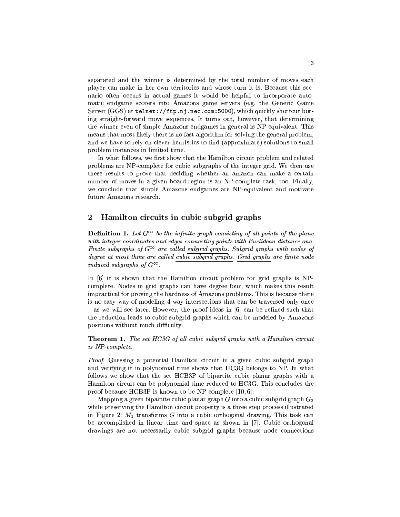separated and the winner is determined by the total number of moves each player can make in her own territories and whose turn it is. Because this scenario often occurs in actual games it would be helpful to incorporate automatic endgame scorers into Amazons game servers (e.g. the Generic Game Server (GGS) at telnet://ftp.nj.nec.com:5000), which quickly shortcut boring straight-forward move sequences. It turns out, however, that determining the winner even of simple Amazons endgames in general is NP-equivalent. This means that most likely there is no fast algorithm for solving the general problem, and we have to rely on clever heuristics to find (approximate) solutions to small problem instances in limited time.

In what follows, we first show that the Hamilton circuit problem and related problems are NP-complete for cubic subgraphs of the integer grid. We then use these results to prove that deciding whether an amazon can make a certain number of moves in a given board region is an NP-complete task, too. Finally, we conclude that simple Amazons endgames are NP-equivalent and motivate future Amazons research.

#### $\overline{2}$ Hamilton circuits in cubic subgrid graphs

**Definition 1.** Let  $G^{\infty}$  be the infinite graph consisting of all points of the plane with integer coordinates and edges connecting points with Euclidean distance one. Finite subgraphs of  $G^{\infty}$  are called subgrid graphs. Subgrid graphs with nodes of degree at most three are called cubic subgrid graphs. Grid graphs are finite node induced subgraphs of  $G^{\infty}$ .

In [6] it is shown that the Hamilton circuit problem for grid graphs is NPcomplete. Nodes in grid graphs can have degree four, which makes this result impractical for proving the hardness of Amazons problems. This is because there is no easy way of modeling 4-way intersections that can be traversed only once - as we will see later. However, the proof ideas in [6] can be refined such that the reduction leads to cubic subgrid graphs which can be modeled by Amazons positions without much difficulty.

**Theorem 1.** The set HC3G of all cubic subarid graphs with a Hamilton circuit is NP complete.

*Proof.* Guessing a potential Hamilton circuit in a given cubic subgrid graph and verifying it in polynomial time shows that HC3G belongs to NP. In what follows we show that the set HCB3P of bipartite cubic planar graphs with a Hamilton circuit can be polynomial time reduced to HC3G. This concludes the proof because HCB3P is known to be NP-complete  $[10, 6]$ .

Mapping a given bipartite cubic planar graph G into a cubic subgrid graph  $G_3$ while preserving the Hamilton circuit property is a three step process illustrated in Figure 2:  $M_1$  transforms G into a cubic orthogonal drawing. This task can be accomplished in linear time and space as shown in [7]. Cubic orthogonal drawings are not necessarily cubic subgrid graphs because node connections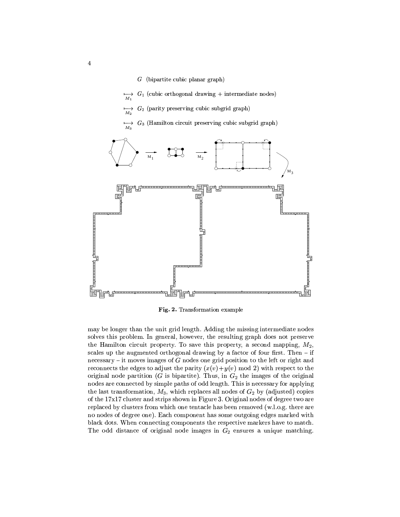$G$  (bipartite cubic planar graph)

 $G_1$  (cubic orthogonal drawing + intermediate nodes)

 $G_2$  (parity preserving cubic subgrid graph)

 $G_3$  (Hamilton circuit preserving cubic subgrid graph)  $\overrightarrow{M_3}$ 



Fig. 2. Transformation example

may be longer than the unit grid length. Adding the missing intermediate nodes solves this problem. In general, however, the resulting graph does not preserve the Hamilton circuit property. To save this property, a second mapping,  $M_2$ , scales up the augmented orthogonal drawing by a factor of four first. Then  $-$  if necessary – it moves images of  $G$  nodes one grid position to the left or right and reconnects the edges to adjust the parity  $(x(v) + y(v) \mod 2)$  with respect to the original node partition (G is bipartite). Thus, in  $G_2$  the images of the original nodes are connected by simple paths of odd length. This is necessary for applying the last transformation,  $M_3$ , which replaces all nodes of  $G_2$  by (adjusted) copies of the 17x17 cluster and strips shown in Figure 3. Original nodes of degree two are replaced by clusters from which one tentacle has been removed (w.l.o.g. there are no nodes of degree one). Each component has some outgoing edges marked with black dots. When connecting components the respective markers have to match. The odd distance of original node images in  $G_2$  ensures a unique matching.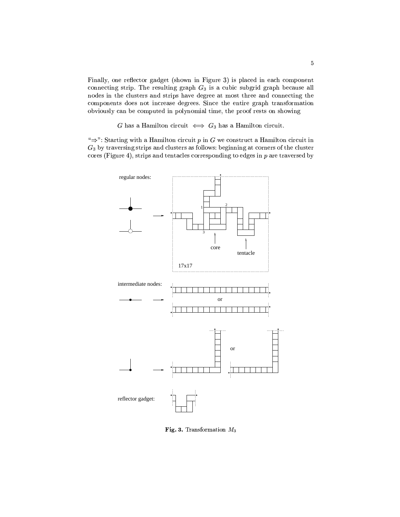Finally, one reflector gadget (shown in Figure 3) is placed in each component connecting strip. The resulting graph  $G_3$  is a cubic subgrid graph because all nodes in the clusters and strips have degree at most three and connecting the components does not increase degrees. Since the entire graph transformation obviously can be computed in polynomial time, the proof rests on showing

 $G$  has a Hamilton circuit  $\iff G_3$  has a Hamilton circuit.

" $\Rightarrow$ ": Starting with a Hamilton circuit p in G we construct a Hamilton circuit in  $G_3$  by traversing strips and clusters as follows: beginning at corners of the cluster cores (Figure 4), strips and tentacles corresponding to edges in  $p$  are traversed by



Fig. 3. Transformation  $M_3$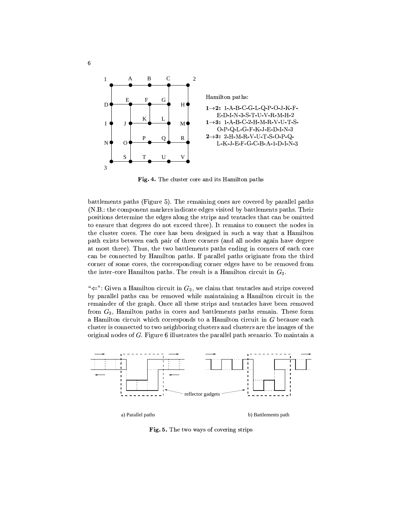

Fig. 4. The cluster core and its Hamilton paths

battlements paths (Figure 5). The remaining ones are covered by parallel paths (N.B.: the component markers indicate edges visited by battlements paths. Their positions determine the edges along the strips and tentacles that can be omitted to ensure that degrees do not exceed three). It remains to connect the nodes in the cluster cores. The core has been designed in such a way that a Hamilton path exists between each pair of three corners (and all nodes again have degree at most three). Thus, the two battlements paths ending in corners of each core can be connected by Hamilton paths. If parallel paths originate from the third corner of some cores, the corresponding corner edges have to be removed from the inter-core Hamilton paths. The result is a Hamilton circuit in  $G_3$ .

" $\Leftarrow$ ": Given a Hamilton circuit in  $G_3$ , we claim that tentacles and strips covered by parallel paths can be removed while maintaining a Hamilton circuit in the remainder of the graph. Once all these strips and tentacles have been removed from  $G_3$ , Hamilton paths in cores and battlements paths remain. These form a Hamilton circuit which corresponds to a Hamilton circuit in  $G$  because each cluster is connected to two neighboring clusters and clusters are the images of the original nodes of  $G$ . Figure 6 illustrates the parallel path scenario. To maintain a



Fig. 5. The two ways of covering strips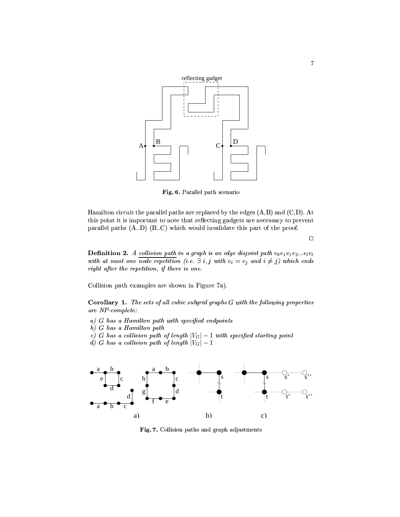

Fig. 6. Parallel path scenario

Hamilton circuit the parallel paths are replaced by the edges  $(A,B)$  and  $(C,D)$ . At this point it is important to note that reflecting gadgets are necessary to prevent parallel paths  $(A.D)$   $(B.C)$  which would invalidate this part of the proof.

 $\Box$ 

**Definition 2.** A collision path in a graph is an edge disjoint path  $v_0e_1v_1e_2...e_lv_l$ with at most one node repetition (i.e.  $\exists i, j$  with  $v_i = v_j$  and  $i \neq j$ ) which ends right after the repetition, if there is one.

Collision path examples are shown in Figure 7a).

**Corollary 1.** The sets of all cubic subgrid graphs G with the following properties are NP-complete:

- a) G has a Hamilton path with specified endpoints
- $b)$  G has a Hamilton path
- c) G has a collision path of length  $|V_G| 1$  with specified starting point d) G has a collision path of length  $|V_G| 1$
- 



Fig. 7. Collision paths and graph adjustments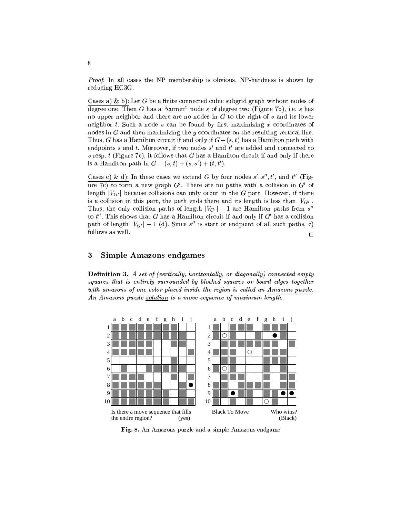*Proof.* In all cases the NP membership is obvious. NP-hardness is shown by reducing HC3G.

Cases a) & b): Let G be a finite connected cubic subgrid graph without nodes of degree one. Then G has a "corner" node s of degree two (Figure 7b), i.e. s has no upper neighbor and there are no nodes in  $G$  to the right of s and its lower neighbor  $t$ . Such a node s can be found by first maximizing x coordinates of nodes in  $G$  and then maximizing the  $y$  coordinates on the resulting vertical line. Thus, G has a Hamilton circuit if and only if  $G-(s,t)$  has a Hamilton path with endpoints s and t. Moreover, if two nodes  $s'$  and  $t'$  are added and connected to s resp.  $t$  (Figure 7c), it follows that G has a Hamilton circuit if and only if there is a Hamilton path in  $G - (s, t) + (s, s') + (t, t')$ .

Cases c) & d): In these cases we extend G by four nodes  $s', s'', t'$ , and  $t''$  (Figure 7c) to form a new graph  $G'$ . There are no paths with a collision in  $G'$  of length  $|V_{G'}|$  because collisions can only occur in the G part. However, if there is a collision in this part, the path ends there and its length is less than  $|V_{G'}|$ . Thus, the only collision paths of length  $|V_{G'}| - 1$  are Hamilton paths from s'' to  $t''$ . This shows that G has a Hamilton circuit if and only if  $G'$  has a collision path of length  $|V_{G'}|-1$  (d). Since s'' is start or endpoint of all such paths, c) follows as well.  $\Box$ 

### 3 **Simple Amazons endgames**

**Definition 3.** A set of (vertically, horizontally, or diagonally) connected empty squares that is entirely surrounded by blocked squares or board edges together with amazons of one color placed inside the region is called an Amazons puzzle. An Amazons puzzle solution is a move sequence of maximum length.



Fig. 8. An Amazons puzzle and a simple Amazons endgame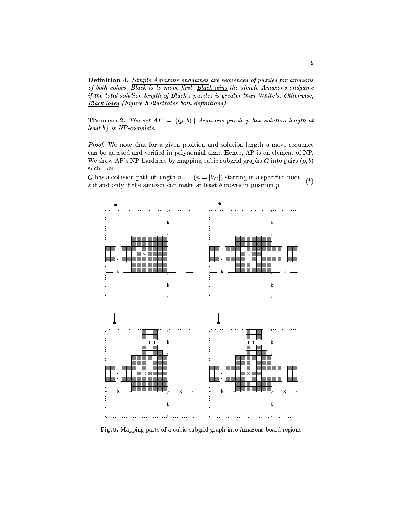**Definition 4.** Simple Amazons endgames are sequences of puzzles for amazons of both colors. Black is to move first. Black wins the simple Amazons endgame if the total solution length of Black's puzzles is greater than White's. Otherwise, **Black loses** (Figure 8 illustrates both definitions).

**Theorem 2.** The set  $AP := \{(p, b) \mid \text{Amazons puzzle } p \text{ has solution length at } \}$ least  $b$  is NP-complete.

Proof. We note that for a given position and solution length a move sequence can be guessed and verified in polynomial time. Hence, AP is an element of NP. We show AP's NP-hardness by mapping cubic subgrid graphs  $G$  into pairs  $(p, b)$ such that:

G has a collision path of length  $n-1$   $(n = |V_G|)$  starting in a specified node  $\rightarrow$  $s$  if and only if the amazon can make at least  $b$  moves in position  $p$ .



Fig. 9. Mapping parts of a cubic subgrid graph into Amazons board regions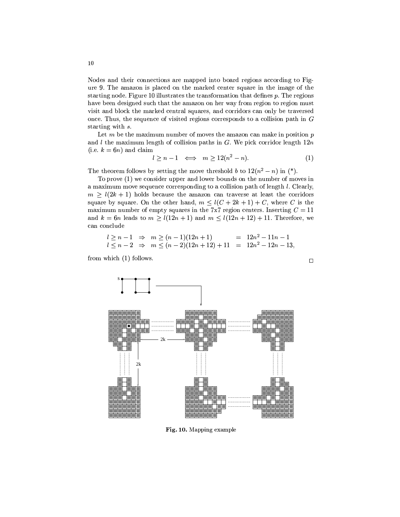Nodes and their connections are mapped into board regions according to Figure 9. The amazon is placed on the marked center square in the image of the starting node. Figure 10 illustrates the transformation that defines  $p$ . The regions have been designed such that the amazon on her way from region to region must visit and block the marked central squares, and corridors can only be traversed once. Thus, the sequence of visited regions corresponds to a collision path in  $G$ starting with  $s$ .

Let  $m$  be the maximum number of moves the amazon can make in position  $p$ and  $l$  the maximum length of collision paths in  $G$ . We pick corridor length  $12n$ (i.e.  $k = 6n$ ) and claim

$$
l \ge n - 1 \iff m \ge 12(n^2 - n). \tag{1}
$$

The theorem follows by setting the move threshold b to  $12(n^2 - n)$  in (\*).

To prove  $(1)$  we consider upper and lower bounds on the number of moves in a maximum move sequence corresponding to a collision path of length l. Clearly,  $m \ge l(2k+1)$  holds because the amazon can traverse at least the corridors square by square. On the other hand,  $m \le l(C + 2k + 1) + C$ , where C is the maximum number of empty squares in the 7x7 region centers. Inserting  $C = 11$ and  $k = 6n$  leads to  $m \ge l(12n + 1)$  and  $m \le l(12n + 12) + 11$ . Therefore, we can conclude

$$
l \ge n - 1 \Rightarrow m \ge (n - 1)(12n + 1) = 12n^2 - 11n - 1
$$
  

$$
l \le n - 2 \Rightarrow m \le (n - 2)(12n + 12) + 11 = 12n^2 - 12n - 13,
$$

from which (1) follows.



Fig. 10. Mapping example

 $10\,$ 

 $\Box$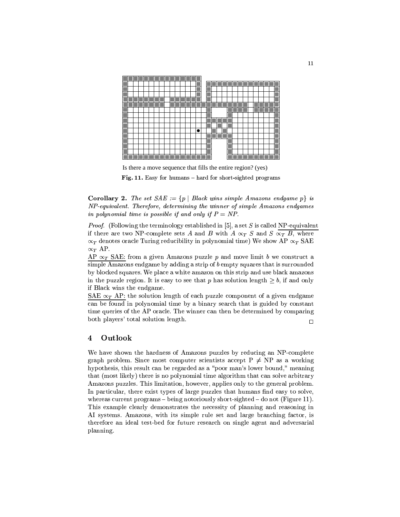

Is there a move sequence that fills the entire region? (yes) Fig. 11. Easy for humans – hard for short-sighted programs

**Corollary 2.** The set  $SAE := \{p \mid Black wins simple Amazons endgame p\}$  is NP-equivalent. Therefore, determining the winner of simple Amazons endgames in polynomial time is possible if and only if  $P = NP$ .

*Proof.* (Following the terminology established in [5], a set  $S$  is called NP-equivalent if there are two NP-complete sets A and B with  $A \propto_T S$  and  $S \propto_T B$ , where  $\alpha_T$  denotes oracle Turing reducibility in polynomial time) We show AP  $\alpha_T$  SAE  $\propto_T AP$ .

AP  $\alpha_T$  SAE: from a given Amazons puzzle p and move limit b we construct a simple Amazons endgame by adding a strip of  $b$  empty squares that is surrounded by blocked squares. We place a white amazon on this strip and use black amazons in the puzzle region. It is easy to see that p has solution length  $\geq b$ , if and only if Black wins the endgame.

SAE  $\propto_T$  AP: the solution length of each puzzle component of a given endgame can be found in polynomial time by a binary search that is guided by constant time queries of the AP oracle. The winner can then be determined by comparing both players' total solution length.

 $\Box$ 

#### Outlook  $\overline{\mathbf{4}}$

We have shown the hardness of Amazons puzzles by reducing an NP-complete graph problem. Since most computer scientists accept  $P \neq NP$  as a working hypothesis, this result can be regarded as a "poor man's lower bound," meaning that (most likely) there is no polynomial time algorithm that can solve arbitrary Amazons puzzles. This limitation, however, applies only to the general problem. In particular, there exist types of large puzzles that humans find easy to solve, whereas current programs – being notoriously short-sighted – do not (Figure 11). This example clearly demonstrates the necessity of planning and reasoning in AI systems. Amazons, with its simple rule set and large branching factor, is therefore an ideal test-bed for future research on single agent and adversarial planning.